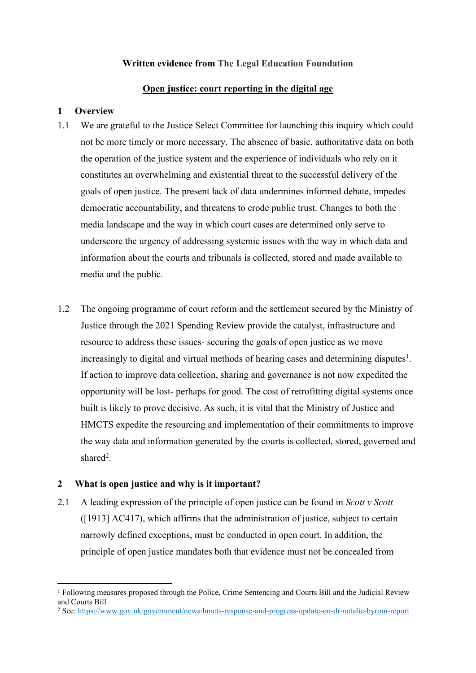# **Written evidence from The Legal Education Foundation**

#### **Open justice: court reporting in the digital age**

### **1 Overview**

- 1.1 We are grateful to the Justice Select Committee for launching this inquiry which could not be more timely or more necessary. The absence of basic, authoritative data on both the operation of the justice system and the experience of individuals who rely on it constitutes an overwhelming and existential threat to the successful delivery of the goals of open justice. The present lack of data undermines informed debate, impedes democratic accountability, and threatens to erode public trust. Changes to both the media landscape and the way in which court cases are determined only serve to underscore the urgency of addressing systemic issues with the way in which data and information about the courts and tribunals is collected, stored and made available to media and the public.
- 1.2 The ongoing programme of court reform and the settlement secured by the Ministry of Justice through the 2021 Spending Review provide the catalyst, infrastructure and resource to address these issues- securing the goals of open justice as we move increasingly to digital and virtual methods of hearing cases and determining disputes<sup>1</sup>. If action to improve data collection, sharing and governance is not now expedited the opportunity will be lost- perhaps for good. The cost of retrofitting digital systems once built is likely to prove decisive. As such, it is vital that the Ministry of Justice and HMCTS expedite the resourcing and implementation of their commitments to improve the way data and information generated by the courts is collected, stored, governed and shared<sup>2</sup>.

# **2 What is open justice and why is it important?**

2.1 A leading expression of the principle of open justice can be found in *Scott v Scott* ([1913] AC417), which affirms that the administration of justice, subject to certain narrowly defined exceptions, must be conducted in open court. In addition, the principle of open justice mandates both that evidence must not be concealed from

<sup>1</sup> Following measures proposed through the Police, Crime Sentencing and Courts Bill and the Judicial Review and Courts Bill

<sup>2</sup> See: <https://www.gov.uk/government/news/hmcts-response-and-progress-update-on-dr-natalie-byrom-report>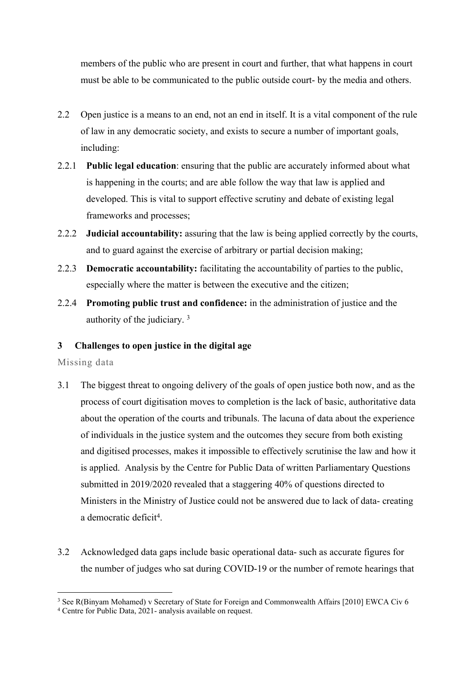members of the public who are present in court and further, that what happens in court must be able to be communicated to the public outside court- by the media and others.

- 2.2 Open justice is a means to an end, not an end in itself. It is a vital component of the rule of law in any democratic society, and exists to secure a number of important goals, including:
- 2.2.1 **Public legal education**: ensuring that the public are accurately informed about what is happening in the courts; and are able follow the way that law is applied and developed. This is vital to support effective scrutiny and debate of existing legal frameworks and processes;
- 2.2.2 **Judicial accountability:** assuring that the law is being applied correctly by the courts, and to guard against the exercise of arbitrary or partial decision making;
- 2.2.3 **Democratic accountability:** facilitating the accountability of parties to the public, especially where the matter is between the executive and the citizen;
- 2.2.4 **Promoting public trust and confidence:** in the administration of justice and the authority of the judiciary. <sup>3</sup>

# **3 Challenges to open justice in the digital age**

#### Missing data

- 3.1 The biggest threat to ongoing delivery of the goals of open justice both now, and as the process of court digitisation moves to completion is the lack of basic, authoritative data about the operation of the courts and tribunals. The lacuna of data about the experience of individuals in the justice system and the outcomes they secure from both existing and digitised processes, makes it impossible to effectively scrutinise the law and how it is applied. Analysis by the Centre for Public Data of written Parliamentary Questions submitted in 2019/2020 revealed that a staggering 40% of questions directed to Ministers in the Ministry of Justice could not be answered due to lack of data- creating a democratic deficit<sup>4</sup>.
- 3.2 Acknowledged data gaps include basic operational data- such as accurate figures for the number of judges who sat during COVID-19 or the number of remote hearings that

<sup>3</sup> See R(Binyam Mohamed) v Secretary of State for Foreign and Commonwealth Affairs [2010] EWCA Civ 6

<sup>4</sup> Centre for Public Data, 2021- analysis available on request.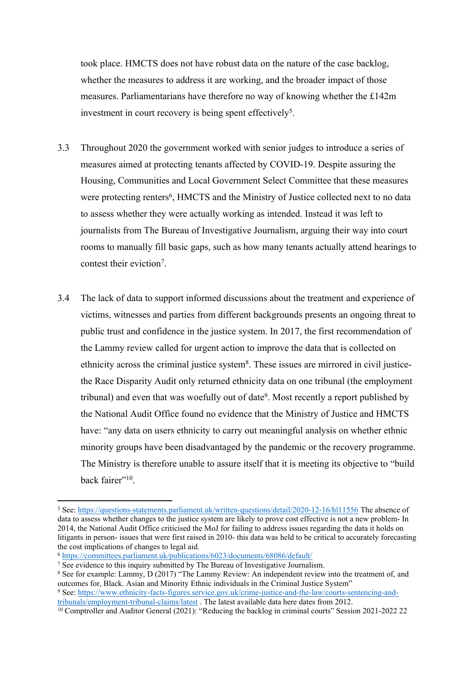took place. HMCTS does not have robust data on the nature of the case backlog, whether the measures to address it are working, and the broader impact of those measures. Parliamentarians have therefore no way of knowing whether the £142m investment in court recovery is being spent effectively<sup>5</sup>.

- 3.3 Throughout 2020 the government worked with senior judges to introduce a series of measures aimed at protecting tenants affected by COVID-19. Despite assuring the Housing, Communities and Local Government Select Committee that these measures were protecting renters<sup>6</sup>, HMCTS and the Ministry of Justice collected next to no data to assess whether they were actually working as intended. Instead it was left to journalists from The Bureau of Investigative Journalism, arguing their way into court rooms to manually fill basic gaps, such as how many tenants actually attend hearings to contest their eviction<sup>7</sup>.
- 3.4 The lack of data to support informed discussions about the treatment and experience of victims, witnesses and parties from different backgrounds presents an ongoing threat to public trust and confidence in the justice system. In 2017, the first recommendation of the Lammy review called for urgent action to improve the data that is collected on ethnicity across the criminal justice system<sup>8</sup>. These issues are mirrored in civil justicethe Race Disparity Audit only returned ethnicity data on one tribunal (the employment tribunal) and even that was woefully out of date<sup>9</sup>. Most recently a report published by the National Audit Office found no evidence that the Ministry of Justice and HMCTS have: "any data on users ethnicity to carry out meaningful analysis on whether ethnic minority groups have been disadvantaged by the pandemic or the recovery programme. The Ministry is therefore unable to assure itself that it is meeting its objective to "build back fairer"<sup>10</sup>.

<sup>5</sup> See: <https://questions-statements.parliament.uk/written-questions/detail/2020-12-16/hl11556> The absence of data to assess whether changes to the justice system are likely to prove cost effective is not a new problem- In 2014, the National Audit Office criticised the MoJ for failing to address issues regarding the data it holds on litigants in person- issues that were first raised in 2010- this data was held to be critical to accurately forecasting the cost implications of changes to legal aid.

<sup>6</sup> <https://committees.parliament.uk/publications/6023/documents/68086/default/>

<sup>&</sup>lt;sup>7</sup> See evidence to this inquiry submitted by The Bureau of Investigative Journalism.

<sup>&</sup>lt;sup>8</sup> See for example: Lammy, D (2017) "The Lammy Review: An independent review into the treatment of, and outcomes for, Black. Asian and Minority Ethnic individuals in the Criminal Justice System" <sup>9</sup> See: [https://www.ethnicity-facts-figures.service.gov.uk/crime-justice-and-the-law/courts-sentencing-and-](https://www.ethnicity-facts-figures.service.gov.uk/crime-justice-and-the-law/courts-sentencing-and-tribunals/employment-tribunal-claims/latest)

[tribunals/employment-tribunal-claims/latest](https://www.ethnicity-facts-figures.service.gov.uk/crime-justice-and-the-law/courts-sentencing-and-tribunals/employment-tribunal-claims/latest) . The latest available data here dates from 2012.

<sup>&</sup>lt;sup>10</sup> Comptroller and Auditor General (2021): "Reducing the backlog in criminal courts" Session 2021-2022 22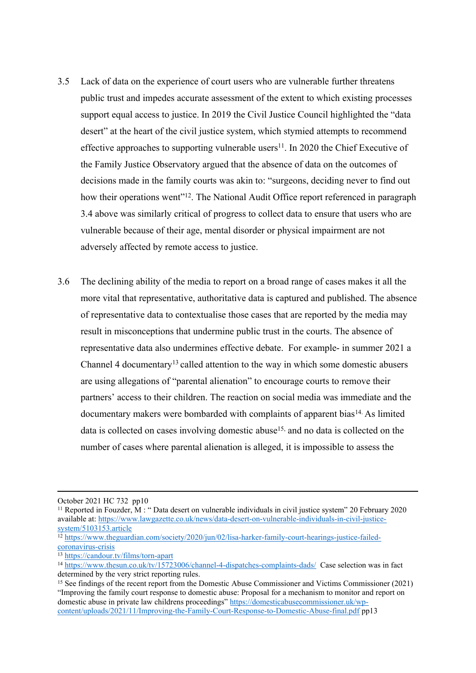- 3.5 Lack of data on the experience of court users who are vulnerable further threatens public trust and impedes accurate assessment of the extent to which existing processes support equal access to justice. In 2019 the Civil Justice Council highlighted the "data desert" at the heart of the civil justice system, which stymied attempts to recommend effective approaches to supporting vulnerable users<sup>11</sup>. In 2020 the Chief Executive of the Family Justice Observatory argued that the absence of data on the outcomes of decisions made in the family courts was akin to: "surgeons, deciding never to find out how their operations went"<sup>12</sup>. The National Audit Office report referenced in paragraph 3.4 above was similarly critical of progress to collect data to ensure that users who are vulnerable because of their age, mental disorder or physical impairment are not adversely affected by remote access to justice.
- 3.6 The declining ability of the media to report on a broad range of cases makes it all the more vital that representative, authoritative data is captured and published. The absence of representative data to contextualise those cases that are reported by the media may result in misconceptions that undermine public trust in the courts. The absence of representative data also undermines effective debate. For example- in summer 2021 a Channel 4 documentary<sup>13</sup> called attention to the way in which some domestic abusers are using allegations of "parental alienation" to encourage courts to remove their partners' access to their children. The reaction on social media was immediate and the documentary makers were bombarded with complaints of apparent bias<sup>14.</sup> As limited data is collected on cases involving domestic abuse<sup>15,</sup> and no data is collected on the number of cases where parental alienation is alleged, it is impossible to assess the

October 2021 HC 732 pp10

<sup>&</sup>lt;sup>11</sup> Reported in Fouzder, M : "Data desert on vulnerable individuals in civil justice system" 20 February 2020 available at: [https://www.lawgazette.co.uk/news/data-desert-on-vulnerable-individuals-in-civil-justice](https://www.lawgazette.co.uk/news/data-desert-on-vulnerable-individuals-in-civil-justice-system/5103153.article)[system/5103153.article](https://www.lawgazette.co.uk/news/data-desert-on-vulnerable-individuals-in-civil-justice-system/5103153.article)

<sup>12</sup> [https://www.theguardian.com/society/2020/jun/02/lisa-harker-family-court-hearings-justice-failed](https://www.theguardian.com/society/2020/jun/02/lisa-harker-family-court-hearings-justice-failed-coronavirus-crisis)[coronavirus-crisis](https://www.theguardian.com/society/2020/jun/02/lisa-harker-family-court-hearings-justice-failed-coronavirus-crisis)

<sup>13</sup> <https://candour.tv/films/torn-apart>

<sup>&</sup>lt;sup>14</sup> <https://www.thesun.co.uk/tv/15723006/channel-4-dispatches-complaints-dads/>Case selection was in fact determined by the very strict reporting rules.

<sup>15</sup> See findings of the recent report from the Domestic Abuse Commissioner and Victims Commissioner (2021) "Improving the family court response to domestic abuse: Proposal for a mechanism to monitor and report on domestic abuse in private law childrens proceedings" [https://domesticabusecommissioner.uk/wp](https://domesticabusecommissioner.uk/wp-content/uploads/2021/11/Improving-the-Family-Court-Response-to-Domestic-Abuse-final.pdf)[content/uploads/2021/11/Improving-the-Family-Court-Response-to-Domestic-Abuse-final.pdf](https://domesticabusecommissioner.uk/wp-content/uploads/2021/11/Improving-the-Family-Court-Response-to-Domestic-Abuse-final.pdf) pp13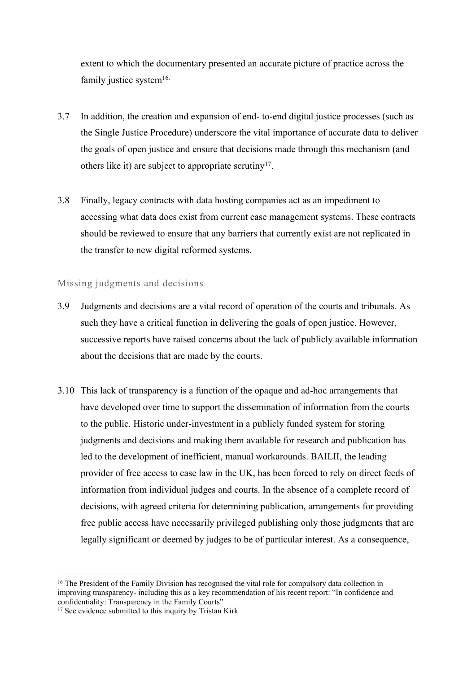extent to which the documentary presented an accurate picture of practice across the family justice system $16$ .

- 3.7 In addition, the creation and expansion of end- to-end digital justice processes (such as the Single Justice Procedure) underscore the vital importance of accurate data to deliver the goals of open justice and ensure that decisions made through this mechanism (and others like it) are subject to appropriate scrutiny<sup>17</sup>.
- 3.8 Finally, legacy contracts with data hosting companies act as an impediment to accessing what data does exist from current case management systems. These contracts should be reviewed to ensure that any barriers that currently exist are not replicated in the transfer to new digital reformed systems.

### Missing judgments and decisions

- 3.9 Judgments and decisions are a vital record of operation of the courts and tribunals. As such they have a critical function in delivering the goals of open justice. However, successive reports have raised concerns about the lack of publicly available information about the decisions that are made by the courts.
- 3.10 This lack of transparency is a function of the opaque and ad-hoc arrangements that have developed over time to support the dissemination of information from the courts to the public. Historic under-investment in a publicly funded system for storing judgments and decisions and making them available for research and publication has led to the development of inefficient, manual workarounds. [BAILII,](https://www.bailii.org/bailii/) the leading provider of free access to case law in the UK, has been forced to rely on direct feeds of information from individual judges and courts. In the absence of a complete record of decisions, with agreed criteria for determining publication, arrangements for providing free public access have necessarily privileged publishing only those judgments that are legally significant or deemed by judges to be of particular interest. As a consequence,

<sup>&</sup>lt;sup>16</sup> The President of the Family Division has recognised the vital role for compulsory data collection in improving transparency- including this as a key recommendation of his recent report: "In confidence and confidentiality: Transparency in the Family Courts"

<sup>&</sup>lt;sup>17</sup> See evidence submitted to this inquiry by Tristan Kirk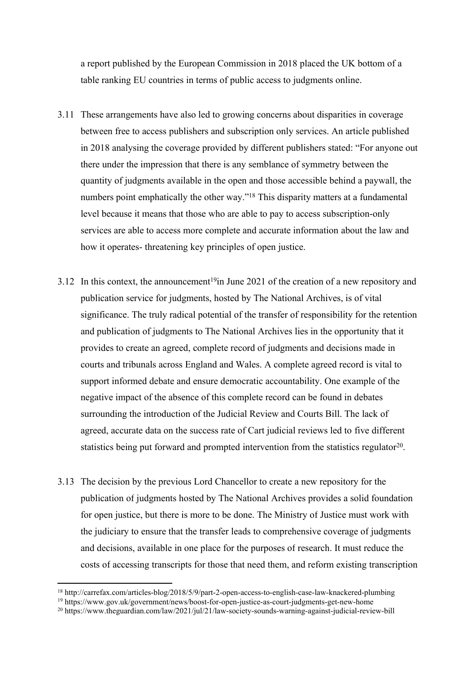a [report](https://ec.europa.eu/info/policies/justice-and-fundamental-rights/upholding-rule-law/eu-justice-scoreboard_en) published by the European Commission in 2018 placed the UK bottom of a table ranking EU countries in terms of public access to judgments online.

- 3.11 These arrangements have also led to growing concerns about disparities in coverage between free to access publishers and subscription only services. An article published in 2018 analysing the coverage provided by different publishers stated: "For anyone out there under the impression that there is any semblance of symmetry between the quantity of judgments available in the open and those accessible behind a paywall, the numbers point emphatically the other way."<sup>18</sup> This disparity matters at a fundamental level because it means that those who are able to pay to access subscription-only services are able to access more complete and accurate information about the law and how it operates- threatening key principles of open justice.
- 3.12 In this context, the announcement<sup>19</sup>in June 2021 of the creation of a new repository and publication service for judgments, hosted by The National Archives, is of vital significance. The truly radical potential of the transfer of responsibility for the retention and publication of judgments to The National Archives lies in the opportunity that it provides to create an agreed, complete record of judgments and decisions made in courts and tribunals across England and Wales. A complete agreed record is vital to support informed debate and ensure democratic accountability. One example of the negative impact of the absence of this complete record can be found in debates surrounding the introduction of the Judicial Review and Courts Bill. The lack of agreed, accurate data on the success rate of Cart judicial reviews led to five different statistics being put forward and prompted intervention from the statistics regulator $20$ .
- 3.13 The decision by the previous Lord Chancellor to create a new repository for the publication of judgments hosted by The National Archives provides a solid foundation for open justice, but there is more to be done. The Ministry of Justice must work with the judiciary to ensure that the transfer leads to comprehensive coverage of judgments and decisions, available in one place for the purposes of research. It must reduce the costs of accessing transcripts for those that need them, and reform existing transcription

<sup>18</sup> http://carrefax.com/articles-blog/2018/5/9/part-2-open-access-to-english-case-law-knackered-plumbing

<sup>19</sup> https://www.gov.uk/government/news/boost-for-open-justice-as-court-judgments-get-new-home

<sup>20</sup> https://www.theguardian.com/law/2021/jul/21/law-society-sounds-warning-against-judicial-review-bill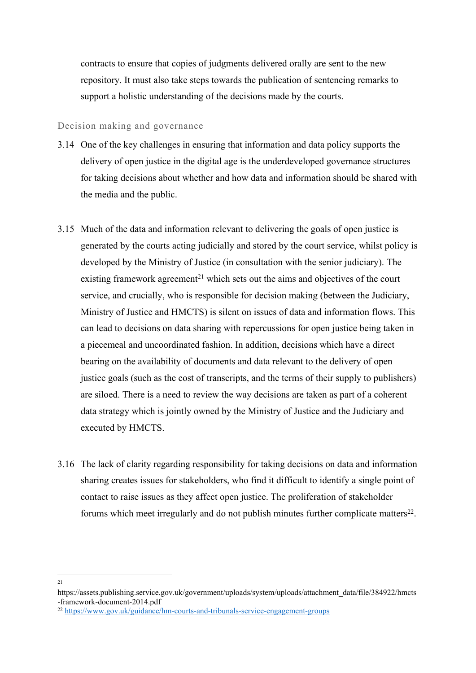contracts to ensure that copies of judgments delivered orally are sent to the new repository. It must also take steps towards the publication of sentencing remarks to support a holistic understanding of the decisions made by the courts.

#### Decision making and governance

- 3.14 One of the key challenges in ensuring that information and data policy supports the delivery of open justice in the digital age is the underdeveloped governance structures for taking decisions about whether and how data and information should be shared with the media and the public.
- 3.15 Much of the data and information relevant to delivering the goals of open justice is generated by the courts acting judicially and stored by the court service, whilst policy is developed by the Ministry of Justice (in consultation with the senior judiciary). The existing framework agreement<sup>21</sup> which sets out the aims and objectives of the court service, and crucially, who is responsible for decision making (between the Judiciary, Ministry of Justice and HMCTS) is silent on issues of data and information flows. This can lead to decisions on data sharing with repercussions for open justice being taken in a piecemeal and uncoordinated fashion. In addition, decisions which have a direct bearing on the availability of documents and data relevant to the delivery of open justice goals (such as the cost of transcripts, and the terms of their supply to publishers) are siloed. There is a need to review the way decisions are taken as part of a coherent data strategy which is jointly owned by the Ministry of Justice and the Judiciary and executed by HMCTS.
- 3.16 The lack of clarity regarding responsibility for taking decisions on data and information sharing creates issues for stakeholders, who find it difficult to identify a single point of contact to raise issues as they affect open justice. The proliferation of stakeholder forums which meet irregularly and do not publish minutes further complicate matters<sup>22</sup>.

<sup>21</sup>

https://assets.publishing.service.gov.uk/government/uploads/system/uploads/attachment\_data/file/384922/hmcts -framework-document-2014.pdf

<sup>22</sup> <https://www.gov.uk/guidance/hm-courts-and-tribunals-service-engagement-groups>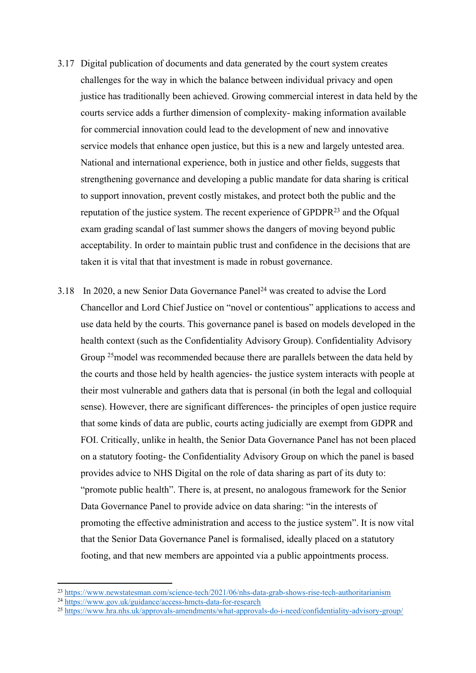- 3.17 Digital publication of documents and data generated by the court system creates challenges for the way in which the balance between individual privacy and open justice has traditionally been achieved. Growing commercial interest in data held by the courts service adds a further dimension of complexity- making information available for commercial innovation could lead to the development of new and innovative service models that enhance open justice, but this is a new and largely untested area. National and international experience, both in justice and other fields, suggests that strengthening governance and developing a public mandate for data sharing is critical to support innovation, prevent costly mistakes, and protect both the public and the reputation of the justice system. The recent experience of GPDPR<sup>23</sup> and the Ofqual exam grading scandal of last summer shows the dangers of moving beyond public acceptability. In order to maintain public trust and confidence in the decisions that are taken it is vital that that investment is made in robust governance.
- 3.18 In 2020, a new Senior Data Governance Panel<sup>24</sup> was created to advise the Lord Chancellor and Lord Chief Justice on "novel or contentious" applications to access and use data held by the courts. This governance panel is based on models developed in the health context (such as the Confidentiality Advisory Group). Confidentiality Advisory Group <sup>25</sup>model was recommended because there are parallels between the data held by the courts and those held by health agencies- the justice system interacts with people at their most vulnerable and gathers data that is personal (in both the legal and colloquial sense). However, there are significant differences- the principles of open justice require that some kinds of data are public, courts acting judicially are exempt from GDPR and FOI. Critically, unlike in health, the Senior Data Governance Panel has not been placed on a statutory footing- the Confidentiality Advisory Group on which the panel is based provides advice to NHS Digital on the role of data sharing as part of its duty to: "promote public health". There is, at present, no analogous framework for the Senior Data Governance Panel to provide advice on data sharing: "in the interests of promoting the effective administration and access to the justice system". It is now vital that the Senior Data Governance Panel is formalised, ideally placed on a statutory footing, and that new members are appointed via a public appointments process.

<sup>23</sup> <https://www.newstatesman.com/science-tech/2021/06/nhs-data-grab-shows-rise-tech-authoritarianism>

<sup>24</sup> <https://www.gov.uk/guidance/access-hmcts-data-for-research>

<sup>25</sup> <https://www.hra.nhs.uk/approvals-amendments/what-approvals-do-i-need/confidentiality-advisory-group/>